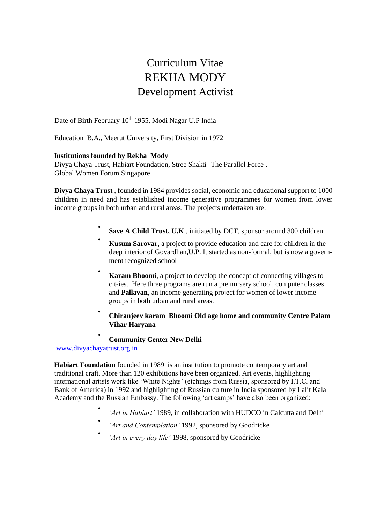# Curriculum Vitae REKHA MODY Development Activist

Date of Birth February 10<sup>th</sup> 1955, Modi Nagar U.P India

Education B.A., Meerut University, First Division in 1972

### **Institutions founded by Rekha Mody**

Divya Chaya Trust, Habiart Foundation, Stree Shakti- The Parallel Force , Global Women Forum Singapore

**Divya Chaya Trust** , founded in 1984 provides social, economic and educational support to 1000 children in need and has established income generative programmes for women from lower income groups in both urban and rural areas. The projects undertaken are:

- **Save A Child Trust, U.K**., initiated by DCT, sponsor around 300 children
- **Kusum Sarovar**, a project to provide education and care for children in the deep interior of Govardhan,U.P. It started as non-formal, but is now a government recognized school
- **Karam Bhoomi**, a project to develop the concept of connecting villages to cit-ies. Here three programs are run a pre nursery school, computer classes and **Pallavan**, an income generating project for women of lower income groups in both urban and rural areas.
- **Chiranjeev karam Bhoomi Old age home and community Centre Palam Vihar Haryana**

**Community Center New Delhi**

www.divyachayatrust.org.in

•

**Habiart Foundation** founded in 1989 is an institution to promote contemporary art and traditional craft. More than 120 exhibitions have been organized. Art events, highlighting international artists work like 'White Nights' (etchings from Russia, sponsored by I.T.C. and Bank of America) in 1992 and highlighting of Russian culture in India sponsored by Lalit Kala Academy and the Russian Embassy. The following 'art camps' have also been organized:

- *'Art in Habiart'* 1989, in collaboration with HUDCO in Calcutta and Delhi
- *'Art and Contemplation'* 1992, sponsored by Goodricke
- *'Art in every day life'* 1998, sponsored by Goodricke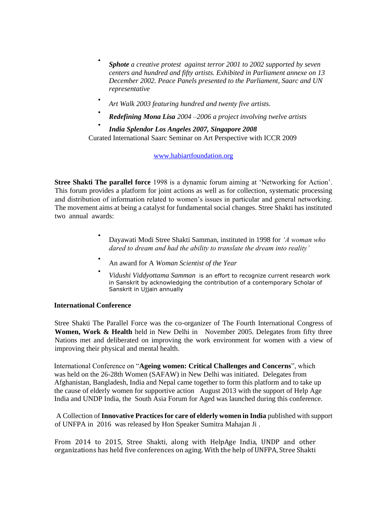- *Sphote a creative protest against terror 2001 to 2002 supported by seven centers and hundred and fifty artists. Exhibited in Parliament annexe on 13 December 2002. Peace Panels presented to the Parliament, Saarc and UN representative*
- *Art Walk 2003 featuring hundred and twenty five artists.*
- *Redefining Mona Lisa 2004 –2006 a project involving twelve artists*
- *India Splendor Los Angeles 2007, Singapore 2008* Curated International Saarc Seminar on Art Perspective with ICCR 2009

#### www.habiartfoundation.org

**Stree Shakti The parallel force** 1998 is a dynamic forum aiming at 'Networking for Action'. This forum provides a platform for joint actions as well as for collection, systematic processing and distribution of information related to women's issues in particular and general networking. The movement aims at being a catalyst for fundamental social changes. Stree Shakti has instituted two annual awards:

- Dayawati Modi Stree Shakti Samman, instituted in 1998 for *'A woman who dared to dream and had the ability to translate the dream into reality'*
- An award for A *Woman Scientist of the Year*
- *Vidushi Viddyottama Samman* is an effort to recognize current research work in Sanskrit by acknowledging the contribution of a contemporary Scholar of Sanskrit in Ujjain annually

#### **International Conference**

Stree Shakti The Parallel Force was the co-organizer of The Fourth International Congress of **Women, Work & Health** held in New Delhi in November 2005. Delegates from fifty three Nations met and deliberated on improving the work environment for women with a view of improving their physical and mental health.

International Conference on "**Ageing women: Critical Challenges and Concerns**", which was held on the 26-28th Women (SAFAW) in New Delhi was initiated. Delegates from Afghanistan, Bangladesh, India and Nepal came together to form this platform and to take up the cause of elderly women for supportive action August 2013 with the support of Help Age India and UNDP India, the South Asia Forum for Aged was launched during this conference.

A Collection of **Innovative Practices for care of elderly women in India** published with support of UNFPA in 2016 was released by Hon Speaker Sumitra Mahajan Ji .

From 2014 to 2015, Stree Shakti, along with HelpAge India, UNDP and other organizations has held five conferences on aging. With the help of UNFPA, Stree Shakti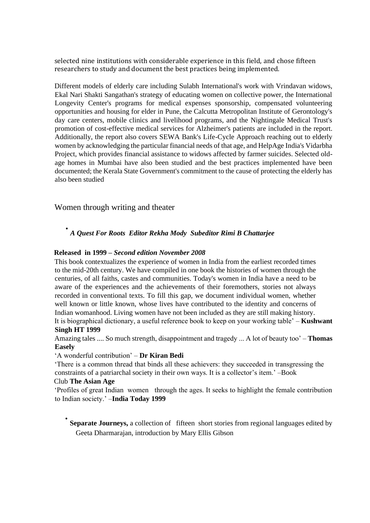selected nine institutions with considerable experience in this field, and chose fifteen researchers to study and document the best practices being implemented.

Different models of elderly care including Sulabh International's work with Vrindavan widows, Ekal Nari Shakti Sangathan's strategy of educating women on collective power, the International Longevity Center's programs for medical expenses sponsorship, compensated volunteering opportunities and housing for elder in Pune, the Calcutta Metropolitan Institute of Gerontology's day care centers, mobile clinics and livelihood programs, and the Nightingale Medical Trust's promotion of cost-effective medical services for Alzheimer's patients are included in the report. Additionally, the report also covers SEWA Bank's Life-Cycle Approach reaching out to elderly women by acknowledging the particular financial needs of that age, and HelpAge India's Vidarbha Project, which provides financial assistance to widows affected by farmer suicides. Selected oldage homes in Mumbai have also been studied and the best practices implemented have been documented; the Kerala State Government's commitment to the cause of protecting the elderly has also been studied

# Women through writing and theater

# • *A Quest For Roots Editor Rekha Mody Subeditor Rimi B Chattarjee*

### **Released in 1999** *– Second edition November 2008*

This book contextualizes the experience of women in India from the earliest recorded times to the mid-20th century. We have compiled in one book the histories of women through the centuries, of all faiths, castes and communities. Today's women in India have a need to be aware of the experiences and the achievements of their foremothers, stories not always recorded in conventional texts. To fill this gap, we document individual women, whether well known or little known, whose lives have contributed to the identity and concerns of Indian womanhood. Living women have not been included as they are still making history. It is biographical dictionary, a useful reference book to keep on your working table' – **Kushwant Singh HT 1999** 

Amazing tales .... So much strength, disappointment and tragedy ... A lot of beauty too' – **Thomas Easely** 

#### 'A wonderful contribution' – **Dr Kiran Bedi**

'There is a common thread that binds all these achievers: they succeeded in transgressing the constraints of a patriarchal society in their own ways. It is a collector's item.' –Book

#### Club **The Asian Age**

'Profiles of great Indian women through the ages. It seeks to highlight the female contribution to Indian society.' –**India Today 1999** 

• **Separate Journeys,** a collection of fifteen short stories from regional languages edited by Geeta Dharmarajan, introduction by Mary Ellis Gibson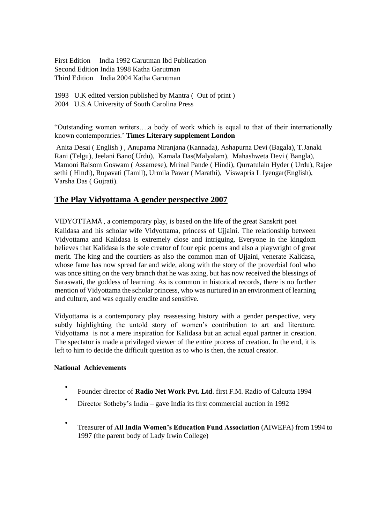First Edition India 1992 Garutman Ibd Publication Second Edition India 1998 Katha Garutman Third Edition India 2004 Katha Garutman

1993 U.K edited version published by Mantra ( Out of print )

2004 U.S.A University of South Carolina Press

"Outstanding women writers….a body of work which is equal to that of their internationally known contemporaries.' **Times Literary supplement London** 

Anita Desai ( English ) , Anupama Niranjana (Kannada), Ashapurna Devi (Bagala), T.Janaki Rani (Telgu), Jeelani Bano( Urdu), Kamala Das(Malyalam), Mahashweta Devi ( Bangla), Mamoni Raisom Goswam ( Assamese), Mrinal Pande ( Hindi), Qurratulain Hyder ( Urdu), Rajee sethi ( Hindi), Rupavati (Tamil), Urmila Pawar ( Marathi), Viswapria L Iyengar(English), Varsha Das ( Gujrati).

# **The Play Vidyottama A gender perspective 2007**

VIDYOTTAMᾹ , a contemporary play, is based on the life of the great Sanskrit poet Kalidasa and his scholar wife Vidyottama, princess of Ujjaini. The relationship between Vidyottama and Kalidasa is extremely close and intriguing. Everyone in the kingdom believes that Kalidasa is the sole creator of four epic poems and also a playwright of great merit. The king and the courtiers as also the common man of Ujjaini, venerate Kalidasa, whose fame has now spread far and wide, along with the story of the proverbial fool who was once sitting on the very branch that he was axing, but has now received the blessings of Saraswati, the goddess of learning. As is common in historical records, there is no further mention of Vidyottama the scholar princess, who was nurtured in an environment of learning and culture, and was equally erudite and sensitive.

Vidyottama is a contemporary play reassessing history with a gender perspective, very subtly highlighting the untold story of women's contribution to art and literature. Vidyottama is not a mere inspiration for Kalidasa but an actual equal partner in creation. The spectator is made a privileged viewer of the entire process of creation. In the end, it is left to him to decide the difficult question as to who is then, the actual creator.

# **National Achievements**

- Founder director of **Radio Net Work Pvt. Ltd**. first F.M. Radio of Calcutta 1994
- Director Sotheby's India – gave India its first commercial auction in 1992
- Treasurer of **All India Women's Education Fund Association** (AIWEFA) from 1994 to 1997 (the parent body of Lady Irwin College)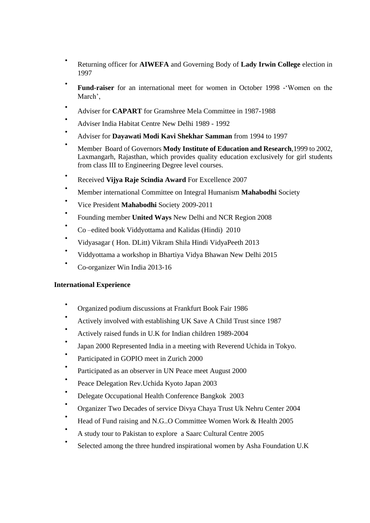- Returning officer for **AIWEFA** and Governing Body of **Lady Irwin College** election in 1997
- **Fund-raiser** for an international meet for women in October 1998 -'Women on the March',
- Adviser for **CAPART** for Gramshree Mela Committee in 1987-1988
- Adviser India Habitat Centre New Delhi 1989 - 1992
- Adviser for **Dayawati Modi Kavi Shekhar Samman** from 1994 to 1997
- Member Board of Governors **Mody Institute of Education and Research**,1999 to 2002, Laxmangarh, Rajasthan, which provides quality education exclusively for girl students from class III to Engineering Degree level courses.
- Received **Vijya Raje Scindia Award** For Excellence 2007
- Member international Committee on Integral Humanism **Mahabodhi** Society
- Vice President **Mahabodhi** Society 2009-2011
- Founding member **United Ways** New Delhi and NCR Region 2008
- Co –edited book Viddyottama and Kalidas (Hindi) 2010
- Vidyasagar ( Hon. DLitt) Vikram Shila Hindi VidyaPeeth 2013
- Viddyottama a workshop in Bhartiya Vidya Bhawan New Delhi 2015
- Co-organizer Win India 2013-16

#### **International Experience**

- Organized podium discussions at Frankfurt Book Fair 1986
- Actively involved with establishing UK Save A Child Trust since 1987
- Actively raised funds in U.K for Indian children 1989-2004
- Japan 2000 Represented India in a meeting with Reverend Uchida in Tokyo.
- Participated in GOPIO meet in Zurich 2000
- Participated as an observer in UN Peace meet August 2000
- Peace Delegation Rev.Uchida Kyoto Japan 2003
- Delegate Occupational Health Conference Bangkok 2003
- Organizer Two Decades of service Divya Chaya Trust Uk Nehru Center 2004
- Head of Fund raising and N.G..O Committee Women Work & Health 2005
- A study tour to Pakistan to explore a Saarc Cultural Centre 2005
- Selected among the three hundred inspirational women by Asha Foundation U.K